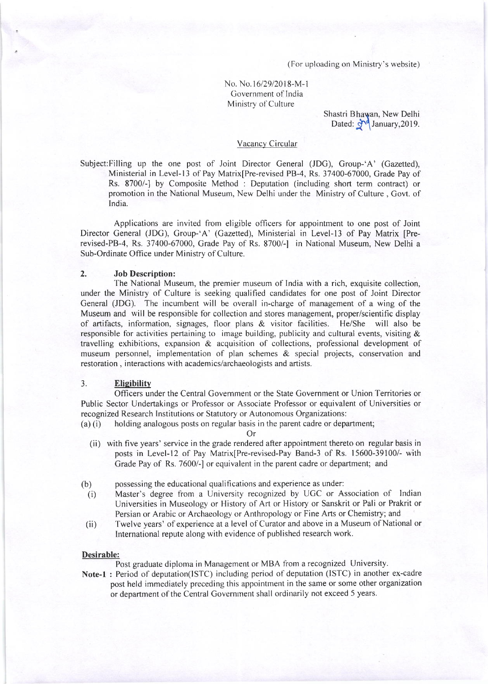(For uploading on Ministry's website)

# No. No. 16/29/2018-M-1 Government of India Ministry of Culture

Shastri Bhawan, New Delhi Dated: 9<sup>14</sup> January, 2019.

## Vacancy Circular

Subject:Filling up the one post of Joint Director Ceneral (JDG), Group-'A' (Gazetted), Ministerial in Level-13 of Pay Matrix[Pre-revised PB-4, Rs. 37400-67000, Grade Pay of Rs. 8700/-] by Composite Method : Deputation (including short term contract) or promotion in the National Museum, New Delhi underthe Ministry of Culture, Govt. of India.

Applications are invited from eligible officers for appointment to one post of Joint Director General (JDC), Croup-'A' (Gazetted), Ministerial in Level-I3 of Pay Matrix [Prerevised-PB-4, Rs. 37400-67000, Grade Pay of Rs. 8700/-] in National Museum, New Delhi a Sub-Ordinate Office under Ministry of Culture.

### 2. Job Description:

The National Museum, the premier museum of India with a rich, exquisite collection, under the Ministry of Culture is seeking qualified candidates for one post of Joint Director General (JDG). The incumbent will be overall in-charge of management of a wing of the Museum and will be responsible for collection and stores management, proper/scientific display of aftifacts, information, signages, floor plans & visitor facilities. He/She will also be responsible for activities pertaining to image building, publicity and cultural events, visiting  $&$ travelling exhibitions, expansion & acquisition of collections, professional development of museum personnel, implementation of plan schemes & special projects, conservation and restoration, interactions with academics/archaeologists and artists.

## 3. Eligibility

Officers under the Central Covernment or the State Government or Union Territories or Public Sector Undertakings or Professor or Associate Professor or equivalent of Universities or recognized Research Institutions or Statutory or Autonomous Organizations:

(a) (i) holding analogous posts on regular basis in the parent cadre or department;

Or

(ii) with five years' service in the grade rendered after appointment thereto on regular basis in posts in Level-12 of Pay Matrix[Pre-revised-Pay Band-3 of Rs. 15600-39100/- with Crade Pay of Rs. 7600/-] or equivalent in the parent cadre or department; and

(b) possessing the educational qualitications and experience as under:

- (i) Master's degree from a University recognized by UGC or Association of Indian Universities in Museology or History of Art or History or Sanskrit or Pali or Prakrit or Persian or Arabic or Archaeology or Anthropology or Fine Afts or Chemistry; and
- (ii) Twelve years' of experience at a level of Curator and above in a Museum of National or International repute along with evidence of published research work.

#### Desirable:

Post graduate diploma in Management or MBA fiom a recognized University.

Note-l : Period of deputation(ISTC) including period of deputation (ISTC) in another ex-cadre post held immediately preceding this appoirrtment in the same or some other organization or department of the Central Government shall ordinarily not exceed 5 years.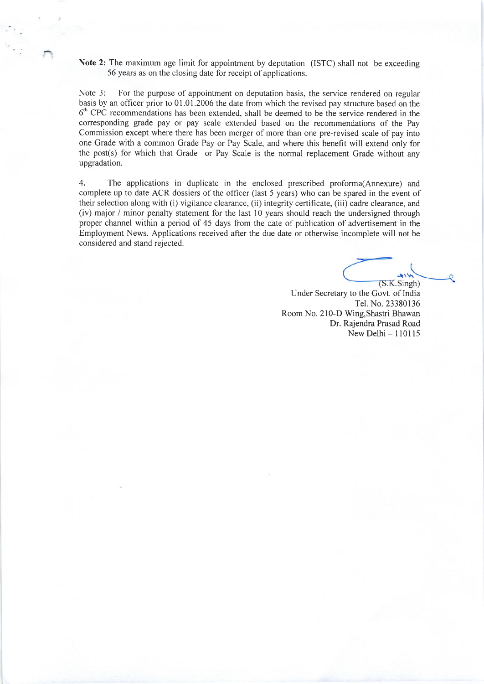Note 2: The maximum age limit for appointment by deputation (ISTC) shall not be exceeding 56 years as on the closing date for receipt of applications.

Note 3: For the purpose of appointment on deputation basis, the service rendered on regular basis by an officer prior to 01.01.2006 the date from which the revised pay structure based on the  $6<sup>th</sup>$  CPC recommendations has been extended, shall be deemed to be the service rendered in the corresponding grade pay or pay scale extended based on the recommendations of the Pay Commission except where there has been merger of more than one pre-revised scale of pay into one Grade with a common Grade Pay or Pay Scale, and where this benefit will extend only for the post(s) for which that Grade or Pay Scale is the normal replacement Grade without any upgradation.

4. The applications in duplicate in the enclosed prescribed proforma(Annexure) and complete up to date ACR dossiers of the officer (last 5 years) who can be spared in the event of their selection along with (i) vigilance clearance, (ii) integrity certificate, (iii) cadre clearance, and (iv) major / minor penalty statement for the last l0 years should reach the undersigned through proper channel within a period of 45 days from the date of publication of advertisement in the Employment News. Applications received after the due date or otherwise incomplete will not be considered and stand rejected.

 $(S.K.Singh)$ 

Under Secretary to the Govt. of India Tel. No. 23380136 Room No. 210-D Wing,Shastri Bhawan Dr. Rajendra Prasad Road New Delhi- 110115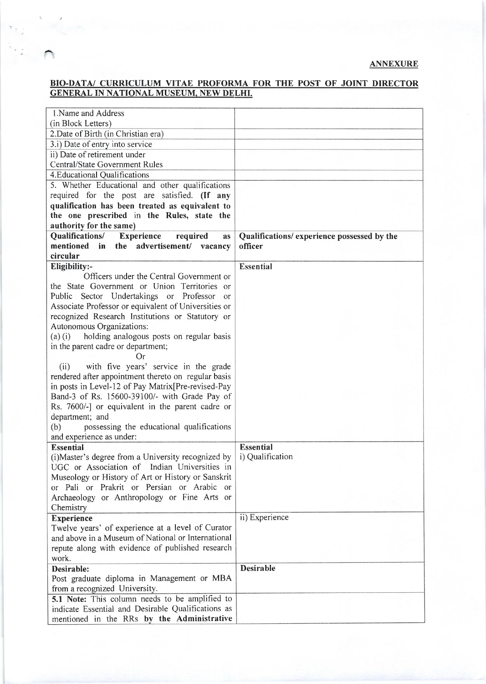# BIO-DATA/ CURRICULUM VITAE PROFORMA FOR THE POST OF JOINT DIRECTOR GENERAL IN NATIONAL MUSEUM. NEW DELHI.

| 1. Name and Address                                                             |                                            |
|---------------------------------------------------------------------------------|--------------------------------------------|
| (in Block Letters)                                                              |                                            |
| 2. Date of Birth (in Christian era)                                             |                                            |
| 3.i) Date of entry into service                                                 |                                            |
| ii) Date of retirement under                                                    |                                            |
| <b>Central/State Government Rules</b>                                           |                                            |
| 4. Educational Qualifications                                                   |                                            |
| 5. Whether Educational and other qualifications                                 |                                            |
| required for the post are satisfied. (If any                                    |                                            |
| qualification has been treated as equivalent to                                 |                                            |
| the one prescribed in the Rules, state the                                      |                                            |
| authority for the same)                                                         |                                            |
| Qualifications/ Experience<br>required<br><b>as</b>                             | Qualifications/experience possessed by the |
| mentioned in the advertisement/ vacancy                                         | officer                                    |
| circular                                                                        |                                            |
| Eligibility:-                                                                   | <b>Essential</b>                           |
| Officers under the Central Government or                                        |                                            |
| the State Government or Union Territories or                                    |                                            |
| Public Sector Undertakings or Professor<br>or                                   |                                            |
| Associate Professor or equivalent of Universities or                            |                                            |
| recognized Research Institutions or Statutory or                                |                                            |
| Autonomous Organizations:                                                       |                                            |
| (a) (i) holding analogous posts on regular basis                                |                                            |
| in the parent cadre or department;                                              |                                            |
| Or                                                                              |                                            |
| with five years' service in the grade<br>(ii)                                   |                                            |
| rendered after appointment thereto on regular basis                             |                                            |
| in posts in Level-12 of Pay Matrix [Pre-revised-Pay                             |                                            |
| Band-3 of Rs. 15600-39100/- with Grade Pay of                                   |                                            |
| Rs. 7600/-] or equivalent in the parent cadre or                                |                                            |
| department; and                                                                 |                                            |
| (b)<br>possessing the educational qualifications                                |                                            |
| and experience as under:                                                        |                                            |
| <b>Essential</b>                                                                | <b>Essential</b>                           |
| (i) Master's degree from a University recognized by                             | i) Qualification                           |
| UGC or Association of Indian Universities in                                    |                                            |
| Museology or History of Art or History or Sanskrit                              |                                            |
| or Pali or Prakrit or Persian or Arabic or                                      |                                            |
| Archaeology or Anthropology or Fine Arts or                                     |                                            |
| Chemistry                                                                       |                                            |
| <b>Experience</b>                                                               | ii) Experience                             |
| Twelve years' of experience at a level of Curator                               |                                            |
| and above in a Museum of National or International                              |                                            |
| repute along with evidence of published research                                |                                            |
| work.                                                                           |                                            |
| Desirable:                                                                      | <b>Desirable</b>                           |
| Post graduate diploma in Management or MBA                                      |                                            |
|                                                                                 |                                            |
| from a recognized University.<br>5.1 Note: This column needs to be amplified to |                                            |
| indicate Essential and Desirable Qualifications as                              |                                            |
| mentioned in the RRs by the Administrative                                      |                                            |
|                                                                                 |                                            |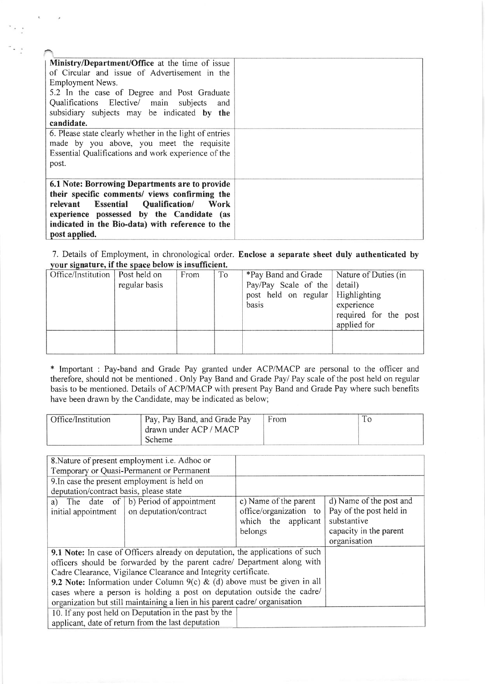| <b>Ministry/Department/Office</b> at the time of issue<br>of Circular and issue of Advertisement in the<br>Employment News.<br>5.2 In the case of Degree and Post Graduate<br>Qualifications Elective/ main subjects<br>and<br>subsidiary subjects may be indicated by the<br>candidate. |  |
|------------------------------------------------------------------------------------------------------------------------------------------------------------------------------------------------------------------------------------------------------------------------------------------|--|
| 6. Please state clearly whether in the light of entries                                                                                                                                                                                                                                  |  |
| made by you above, you meet the requisite                                                                                                                                                                                                                                                |  |
| Essential Qualifications and work experience of the                                                                                                                                                                                                                                      |  |
| post.                                                                                                                                                                                                                                                                                    |  |
|                                                                                                                                                                                                                                                                                          |  |
| 6.1 Note: Borrowing Departments are to provide                                                                                                                                                                                                                                           |  |
| their specific comments/ views confirming the                                                                                                                                                                                                                                            |  |
| relevant Essential Qualification/<br>- Work                                                                                                                                                                                                                                              |  |
| experience possessed by the Candidate (as                                                                                                                                                                                                                                                |  |
| indicated in the Bio-data) with reference to the                                                                                                                                                                                                                                         |  |
| post applied.                                                                                                                                                                                                                                                                            |  |

7. Details of Employment, in chronological order. Enclose a separate sheet duly authenticated by vour signature, if the space below is insufficient.

| Office/Institution   Post held on |               | From | To | *Pay Band and Grade               | Nature of Duties (in  |
|-----------------------------------|---------------|------|----|-----------------------------------|-----------------------|
|                                   | regular basis |      |    | Pay/Pay Scale of the detail)      |                       |
|                                   |               |      |    | post held on regular Highlighting |                       |
|                                   |               |      |    | basis                             | experience            |
|                                   |               |      |    |                                   | required for the post |
|                                   |               |      |    |                                   | applied for           |
|                                   |               |      |    |                                   |                       |
|                                   |               |      |    |                                   |                       |
|                                   |               |      |    |                                   |                       |

\* Important : Pay-band and Grade Pay granted under ACP/MACP are personal therefore, should not be mentioned . Only Pay Band and Grade Pay/ Pay scale of the basis to be mentioned. Details of ACP/MACP with present Pay Band and Grade Pay where such benefits have been drawn by the Candidate, may be indicated as below; to the officer and post held on regular

| Office/Institution | Pay, Pay Band, and Grade Pay | From |  |
|--------------------|------------------------------|------|--|
|                    | drawn under ACP / MACP       |      |  |
|                    | Scheme                       |      |  |

| c) Name of the parent                                                       | d) Name of the post and                                                                                                                                                                                                                                                                                   |  |  |  |
|-----------------------------------------------------------------------------|-----------------------------------------------------------------------------------------------------------------------------------------------------------------------------------------------------------------------------------------------------------------------------------------------------------|--|--|--|
| office/organization to                                                      | Pay of the post held in                                                                                                                                                                                                                                                                                   |  |  |  |
| which the applicant                                                         | substantive                                                                                                                                                                                                                                                                                               |  |  |  |
| belongs                                                                     | capacity in the parent                                                                                                                                                                                                                                                                                    |  |  |  |
|                                                                             | organisation                                                                                                                                                                                                                                                                                              |  |  |  |
|                                                                             |                                                                                                                                                                                                                                                                                                           |  |  |  |
|                                                                             |                                                                                                                                                                                                                                                                                                           |  |  |  |
|                                                                             |                                                                                                                                                                                                                                                                                                           |  |  |  |
|                                                                             |                                                                                                                                                                                                                                                                                                           |  |  |  |
| cases where a person is holding a post on deputation outside the cadre/     |                                                                                                                                                                                                                                                                                                           |  |  |  |
| organization but still maintaining a lien in his parent cadre/ organisation |                                                                                                                                                                                                                                                                                                           |  |  |  |
| 10. If any post held on Deputation in the past by the                       |                                                                                                                                                                                                                                                                                                           |  |  |  |
|                                                                             |                                                                                                                                                                                                                                                                                                           |  |  |  |
|                                                                             | 9.1 Note: In case of Officers already on deputation, the applications of such<br>officers should be forwarded by the parent cadre/ Department along with<br>Cadre Clearance, Vigilance Clearance and Integrity certificate.<br>9.2 Note: Information under Column $9(c)$ & (d) above must be given in all |  |  |  |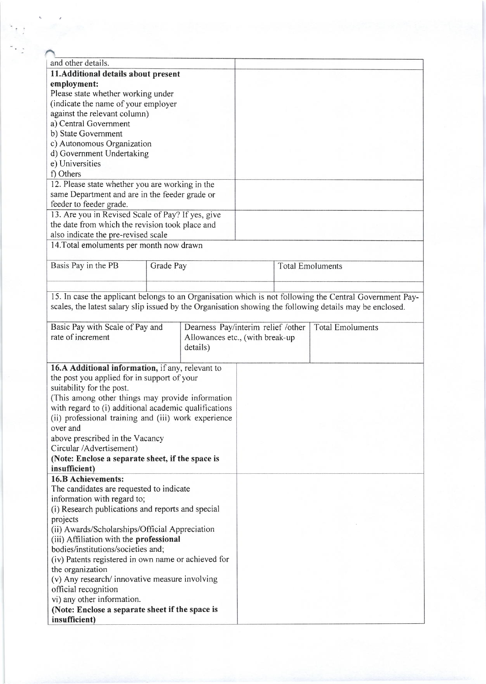| and other details.                                                                                       |                                                |                                    |                         |                         |  |
|----------------------------------------------------------------------------------------------------------|------------------------------------------------|------------------------------------|-------------------------|-------------------------|--|
| 11. Additional details about present                                                                     |                                                |                                    |                         |                         |  |
| employment:                                                                                              |                                                |                                    |                         |                         |  |
| Please state whether working under                                                                       |                                                |                                    |                         |                         |  |
| (indicate the name of your employer                                                                      |                                                |                                    |                         |                         |  |
| against the relevant column)                                                                             |                                                |                                    |                         |                         |  |
| a) Central Government                                                                                    |                                                |                                    |                         |                         |  |
| b) State Government                                                                                      |                                                |                                    |                         |                         |  |
| c) Autonomous Organization                                                                               |                                                |                                    |                         |                         |  |
| d) Government Undertaking                                                                                |                                                |                                    |                         |                         |  |
| e) Universities                                                                                          |                                                |                                    |                         |                         |  |
| f) Others                                                                                                |                                                |                                    |                         |                         |  |
| 12. Please state whether you are working in the                                                          |                                                |                                    |                         |                         |  |
| same Department and are in the feeder grade or                                                           |                                                |                                    |                         |                         |  |
| feeder to feeder grade.                                                                                  |                                                |                                    |                         |                         |  |
| 13. Are you in Revised Scale of Pay? If yes, give                                                        |                                                |                                    |                         |                         |  |
| the date from which the revision took place and                                                          |                                                |                                    |                         |                         |  |
| also indicate the pre-revised scale                                                                      |                                                |                                    |                         |                         |  |
| 14. Total emoluments per month now drawn                                                                 |                                                |                                    |                         |                         |  |
|                                                                                                          |                                                |                                    |                         |                         |  |
| Basis Pay in the PB                                                                                      | Grade Pay                                      |                                    | <b>Total Emoluments</b> |                         |  |
|                                                                                                          |                                                |                                    |                         |                         |  |
|                                                                                                          |                                                |                                    |                         |                         |  |
| 15. In case the applicant belongs to an Organisation which is not following the Central Government Pay-  |                                                |                                    |                         |                         |  |
| scales, the latest salary slip issued by the Organisation showing the following details may be enclosed. |                                                |                                    |                         |                         |  |
| Basic Pay with Scale of Pay and                                                                          |                                                | Dearness Pay/interim relief /other |                         | <b>Total Emoluments</b> |  |
| rate of increment                                                                                        |                                                | Allowances etc., (with break-up    |                         |                         |  |
|                                                                                                          |                                                | details)                           |                         |                         |  |
|                                                                                                          |                                                |                                    |                         |                         |  |
| 16.A Additional information, if any, relevant to                                                         |                                                |                                    |                         |                         |  |
| the post you applied for in support of your                                                              |                                                |                                    |                         |                         |  |
| suitability for the post.                                                                                |                                                |                                    |                         |                         |  |
| (This among other things may provide information                                                         |                                                |                                    |                         |                         |  |
| with regard to (i) additional academic qualifications                                                    |                                                |                                    |                         |                         |  |
| (ii) professional training and (iii) work experience                                                     |                                                |                                    |                         |                         |  |
| over and                                                                                                 |                                                |                                    |                         |                         |  |
| above prescribed in the Vacancy                                                                          |                                                |                                    |                         |                         |  |
| Circular /Advertisement)                                                                                 |                                                |                                    |                         |                         |  |
| (Note: Enclose a separate sheet, if the space is                                                         |                                                |                                    |                         |                         |  |
| insufficient)                                                                                            |                                                |                                    |                         |                         |  |
| <b>16.B Achievements:</b>                                                                                |                                                |                                    |                         |                         |  |
| The candidates are requested to indicate                                                                 |                                                |                                    |                         |                         |  |
| information with regard to;                                                                              |                                                |                                    |                         |                         |  |
| (i) Research publications and reports and special                                                        |                                                |                                    |                         |                         |  |
| projects                                                                                                 |                                                |                                    |                         |                         |  |
|                                                                                                          | (ii) Awards/Scholarships/Official Appreciation |                                    |                         |                         |  |
| (iii) Affiliation with the professional                                                                  |                                                |                                    |                         |                         |  |
| bodies/institutions/societies and;                                                                       |                                                |                                    |                         |                         |  |
| (iv) Patents registered in own name or achieved for                                                      |                                                |                                    |                         |                         |  |
| the organization                                                                                         |                                                |                                    |                         |                         |  |
| (v) Any research/ innovative measure involving                                                           |                                                |                                    |                         |                         |  |
| official recognition                                                                                     |                                                |                                    |                         |                         |  |
| vi) any other information.                                                                               |                                                |                                    |                         |                         |  |
| (Note: Enclose a separate sheet if the space is                                                          |                                                |                                    |                         |                         |  |
| insufficient)                                                                                            |                                                |                                    |                         |                         |  |